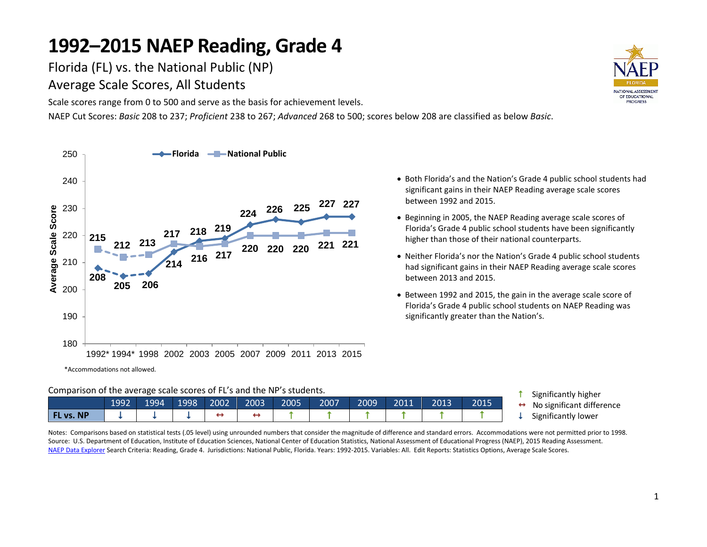Florida (FL) vs. the National Public (NP)

Average Scale Scores, All Students

Scale scores range from 0 to 500 and serve as the basis for achievement levels.

NAEP Cut Scores: *Basic* 208 to 237; *Proficient* 238 to 267; *Advanced* 268 to 500; scores below 208 are classified as below *Basic*.



- Both Florida's and the Nation's Grade 4 public school students had significant gains in their NAEP Reading average scale scores between 1992 and 2015.
- Beginning in 2005, the NAEP Reading average scale scores of Florida's Grade 4 public school students have been significantly higher than those of their national counterparts.
- Neither Florida's nor the Nation's Grade 4 public school students had significant gains in their NAEP Reading average scale scores between 2013 and 2015.
- Between 1992 and 2015, the gain in the average scale score of Florida's Grade 4 public school students on NAEP Reading was significantly greater than the Nation's.

**1** Significantly higher  $\leftrightarrow$  No significant difference  $\downarrow$  Significantly lower

| Comparison of the average scale scores of FL's and the NP's students. |  |  |  |  |
|-----------------------------------------------------------------------|--|--|--|--|
|                                                                       |  |  |  |  |

|                  | 1992 | 1994 | 1998 | 2002 | 2003 | 2005 | 2007 | 2009 | 2011 | 2013 | 2015 |
|------------------|------|------|------|------|------|------|------|------|------|------|------|
| <b>FL vs. NP</b> |      |      |      |      |      |      |      |      |      |      |      |

Notes: Comparisons based on statistical tests (.05 level) using unrounded numbers that consider the magnitude of difference and standard errors. Accommodations were not permitted prior to 1998. Source: U.S. Department of Education, Institute of Education Sciences, National Center of Education Statistics, National Assessment of Educational Progress (NAEP), 2015 Reading Assessment. [NAEP Data Explorer](http://nces.ed.gov/nationsreportcard/naepdata/) Search Criteria: Reading, Grade 4. Jurisdictions: National Public, Florida. Years: 1992-2015. Variables: All. Edit Reports: Statistics Options, Average Scale Scores.

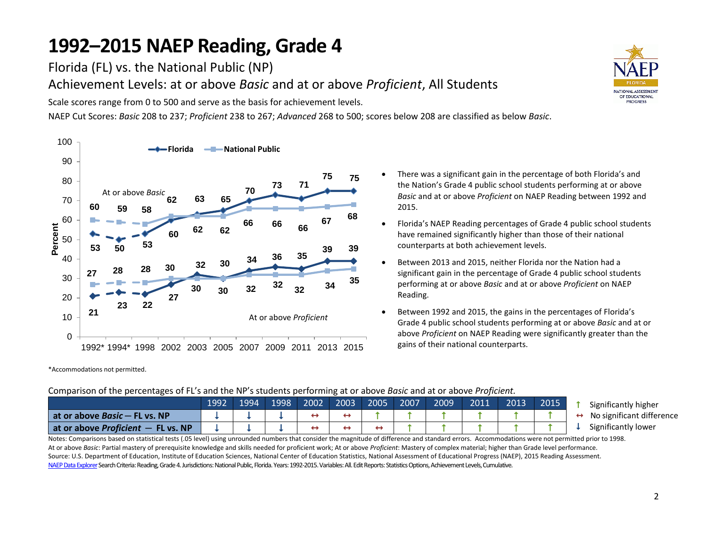Florida (FL) vs. the National Public (NP)

Achievement Levels: at or above *Basic* and at or above *Proficient*, All Students

Scale scores range from 0 to 500 and serve as the basis for achievement levels.

NAEP Cut Scores: *Basic* 208 to 237; *Proficient* 238 to 267; *Advanced* 268 to 500; scores below 208 are classified as below *Basic*.



\*Accommodations not permitted.

- There was a significant gain in the percentage of both Florida's and the Nation's Grade 4 public school students performing at or above *Basic* and at or above *Proficient* on NAEP Reading between 1992 and 2015.
- Florida's NAEP Reading percentages of Grade 4 public school students have remained significantly higher than those of their national counterparts at both achievement levels.
- Between 2013 and 2015, neither Florida nor the Nation had a significant gain in the percentage of Grade 4 public school students performing at or above *Basic* and at or above *Proficient* on NAEP Reading.
- Between 1992 and 2015, the gains in the percentages of Florida's Grade 4 public school students performing at or above *Basic* and at or above *Proficient* on NAEP Reading were significantly greater than the gains of their national counterparts.

#### Comparison of the percentages of FL's and the NP's students performing at or above *Basic* and at or above *Proficient.*

|                                                                | 1992 | 1994 | 1998 | 2002 | 2003 | 2005 | 2007 | 2009 | 2011 | 2013 | 2015 |
|----------------------------------------------------------------|------|------|------|------|------|------|------|------|------|------|------|
| at or above $Basic$ – FL vs. NP                                |      |      |      |      |      |      |      |      |      |      |      |
| $\blacksquare$ at or above Proficient $\blacksquare$ FL vs. NP |      |      |      |      |      |      |      |      |      |      |      |

- Significantly higher No significant difference
- Significantly lower

Notes: Comparisons based on statistical tests (.05 level) using unrounded numbers that consider the magnitude of difference and standard errors. Accommodations were not permitted prior to 1998. At or above *Basic*: Partial mastery of prerequisite knowledge and skills needed for proficient work; At or above *Proficient*: Mastery of complex material; higher than Grade level performance. Source: U.S. Department of Education, Institute of Education Sciences, National Center of Education Statistics, National Assessment of Educational Progress (NAEP), 2015 Reading Assessment. NAEP Data Explorer Search Criteria: Reading, Grade 4. Jurisdictions: National Public, Florida. Years: 1992-2015. Variables: All. Edit Reports: Statistics Options, Achievement Levels, Cumulative.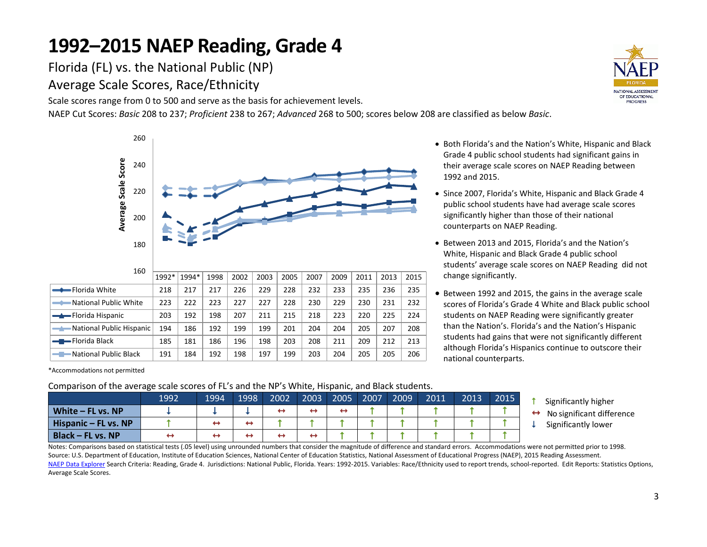Florida (FL) vs. the National Public (NP) Average Scale Scores, Race/Ethnicity

Scale scores range from 0 to 500 and serve as the basis for achievement levels.

NAEP Cut Scores: *Basic* 208 to 237; *Proficient* 238 to 267; *Advanced* 268 to 500; scores below 208 are classified as below *Basic*.



\*Accommodations not permitted

#### Comparison of the average scale scores of FL's and the NP's White, Hispanic, and Black students.

|                                  | 1992 | 1994 | 1998 | 2002 | 2003 | 2005 | 2007 | 2009 | 2011 | 2013 | 2015 |
|----------------------------------|------|------|------|------|------|------|------|------|------|------|------|
| $\blacksquare$ White – FL vs. NP |      |      |      |      |      | ↤    |      |      |      |      |      |
| Hispanic – FL vs. NP             |      | ↔    | ↔    |      |      |      |      |      |      |      |      |
| <b>Black - FL vs. NP</b>         |      |      |      |      |      |      |      |      |      |      |      |

- Both Florida's and the Nation's White, Hispanic and Black Grade 4 public school students had significant gains in their average scale scores on NAEP Reading between 1992 and 2015.
- Since 2007, Florida's White, Hispanic and Black Grade 4 public school students have had average scale scores significantly higher than those of their national counterparts on NAEP Reading.
- Between 2013 and 2015, Florida's and the Nation's White, Hispanic and Black Grade 4 public school students' average scale scores on NAEP Reading did not change significantly.
- Between 1992 and 2015, the gains in the average scale scores of Florida's Grade 4 White and Black public school students on NAEP Reading were significantly greater than the Nation's. Florida's and the Nation's Hispanic students had gains that were not significantly different although Florida's Hispanics continue to outscore their national counterparts.
	- **1** Significantly higher
	- No significant difference
	- Significantly lower

Notes: Comparisons based on statistical tests (.05 level) using unrounded numbers that consider the magnitude of difference and standard errors. Accommodations were not permitted prior to 1998. Source: U.S. Department of Education, Institute of Education Sciences, National Center of Education Statistics, National Assessment of Educational Progress (NAEP), 2015 Reading Assessment. [NAEP Data Explorer](http://nces.ed.gov/nationsreportcard/naepdata/) Search Criteria: Reading, Grade 4. Jurisdictions: National Public, Florida. Years: 1992-2015. Variables: Race/Ethnicity used to report trends, school-reported. Edit Reports: Statistics Options, Average Scale Scores.

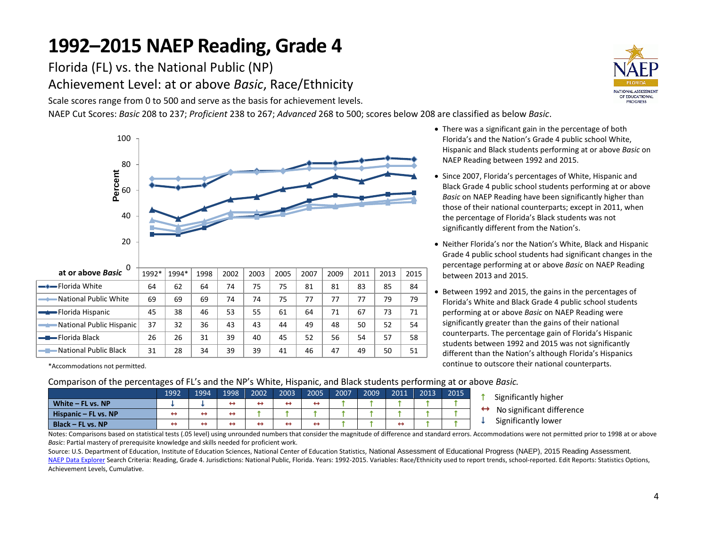Florida (FL) vs. the National Public (NP) Achievement Level: at or above *Basic*, Race/Ethnicity

Scale scores range from 0 to 500 and serve as the basis for achievement levels.

NAEP Cut Scores: *Basic* 208 to 237; *Proficient* 238 to 267; *Advanced* 268 to 500; scores below 208 are classified as below *Basic*.



\*Accommodations not permitted.

- There was a significant gain in the percentage of both Florida's and the Nation's Grade 4 public school White, Hispanic and Black students performing at or above *Basic* on NAEP Reading between 1992 and 2015.
- Since 2007, Florida's percentages of White, Hispanic and Black Grade 4 public school students performing at or above *Basic* on NAEP Reading have been significantly higher than those of their national counterparts; except in 2011, when the percentage of Florida's Black students was not significantly different from the Nation's.
- Neither Florida's nor the Nation's White, Black and Hispanic Grade 4 public school students had significant changes in the percentage performing at or above *Basic* on NAEP Reading between 2013 and 2015.
- Between 1992 and 2015, the gains in the percentages of Florida's White and Black Grade 4 public school students performing at or above *Basic* on NAEP Reading were significantly greater than the gains of their national counterparts. The percentage gain of Florida's Hispanic students between 1992 and 2015 was not significantly different than the Nation's although Florida's Hispanics continue to outscore their national counterparts.

Comparison of the percentages of FL's and the NP's White, Hispanic, and Black students performing at or above *Basic.*

|                      | 1992 | 1994 | 1998 | 2002 | 2003 | 2005 | 2007 | 2009 | 2011 | 2013 | 2015 | Significantly higher      |
|----------------------|------|------|------|------|------|------|------|------|------|------|------|---------------------------|
| White $-$ FL vs. NP  |      |      |      |      |      |      |      |      |      |      |      |                           |
| Hispanic – FL vs. NP |      |      |      |      |      |      |      |      |      |      |      | No significant difference |
| Black – FL vs. NP    |      |      |      |      |      |      |      |      |      |      |      | Significantly lower       |

Notes: Comparisons based on statistical tests (.05 level) using unrounded numbers that consider the magnitude of difference and standard errors. Accommodations were not permitted prior to 1998 at or above *Basic*: Partial mastery of prerequisite knowledge and skills needed for proficient work.

Source: U.S. Department of Education, Institute of Education Sciences, National Center of Education Statistics, National Assessment of Educational Progress (NAEP), 2015 Reading Assessment. [NAEP Data Explorer](http://nces.ed.gov/nationsreportcard/naepdata/) Search Criteria: Reading, Grade 4. Jurisdictions: National Public, Florida. Years: 1992-2015. Variables: Race/Ethnicity used to report trends, school-reported. Edit Reports: Statistics Options, Achievement Levels, Cumulative.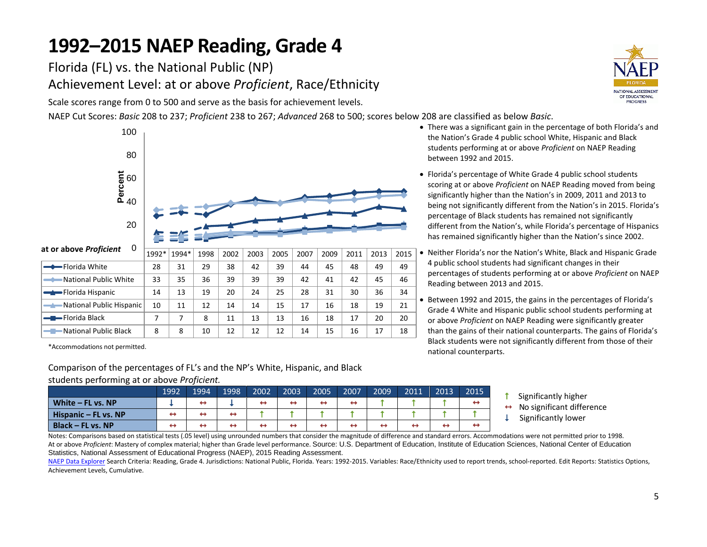Florida (FL) vs. the National Public (NP) Achievement Level: at or above *Proficient*, Race/Ethnicity

Scale scores range from 0 to 500 and serve as the basis for achievement levels.

NAEP Cut Scores: *Basic* 208 to 237; *Proficient* 238 to 267; *Advanced* 268 to 500; scores below 208 are classified as below *Basic*.



\*Accommodations not permitted.

Comparison of the percentages of FL's and the NP's White, Hispanic, and Black

#### students performing at or above *Proficient.*

|                        | 1992 | 1994 | 1998 | 2002 | 2003 | 2005 | 2007              | 2009 | 2011 | 2013 | 2015 |
|------------------------|------|------|------|------|------|------|-------------------|------|------|------|------|
| White $-$ FL vs. NP    |      | ↔    |      | ↤    |      | ↔    | $\leftrightarrow$ |      |      |      | ↤    |
| Hispanic $-$ FL vs. NP | ↔    | ↔    | ↔    |      |      |      |                   |      |      |      |      |
| Black – FL vs. NP      | ↔    | ↔    | ↔    | ┯    | ↔    | ⊷    | ↔                 | ÷    | ↔    | ↔    | ∸    |



- There was a significant gain in the percentage of both Florida's and the Nation's Grade 4 public school White, Hispanic and Black students performing at or above *Proficient* on NAEP Reading between 1992 and 2015.
- Florida's percentage of White Grade 4 public school students scoring at or above *Proficient* on NAEP Reading moved from being significantly higher than the Nation's in 2009, 2011 and 2013 to being not significantly different from the Nation's in 2015. Florida's percentage of Black students has remained not significantly different from the Nation's, while Florida's percentage of Hispanics has remained significantly higher than the Nation's since 2002.
- Neither Florida's nor the Nation's White, Black and Hispanic Grade 4 public school students had significant changes in their percentages of students performing at or above *Proficient* on NAEP Reading between 2013 and 2015.
- Between 1992 and 2015, the gains in the percentages of Florida's Grade 4 White and Hispanic public school students performing at or above *Proficient* on NAEP Reading were significantly greater than the gains of their national counterparts. The gains of Florida's Black students were not significantly different from those of their national counterparts.
	- Significantly higher
	- No significant difference
	- Significantly lower

Notes: Comparisons based on statistical tests (.05 level) using unrounded numbers that consider the magnitude of difference and standard errors. Accommodations were not permitted prior to 1998. At or above *Proficient*: Mastery of complex material; higher than Grade level performance, Source: U.S. Department of Education, Institute of Education Sciences, National Center of Education Statistics, National Assessment of Educational Progress (NAEP), 2015 Reading Assessment.

[NAEP Data Explorer](http://nces.ed.gov/nationsreportcard/naepdata/) Search Criteria: Reading, Grade 4. Jurisdictions: National Public, Florida. Years: 1992-2015. Variables: Race/Ethnicity used to report trends, school-reported. Edit Reports: Statistics Options, Achievement Levels, Cumulative.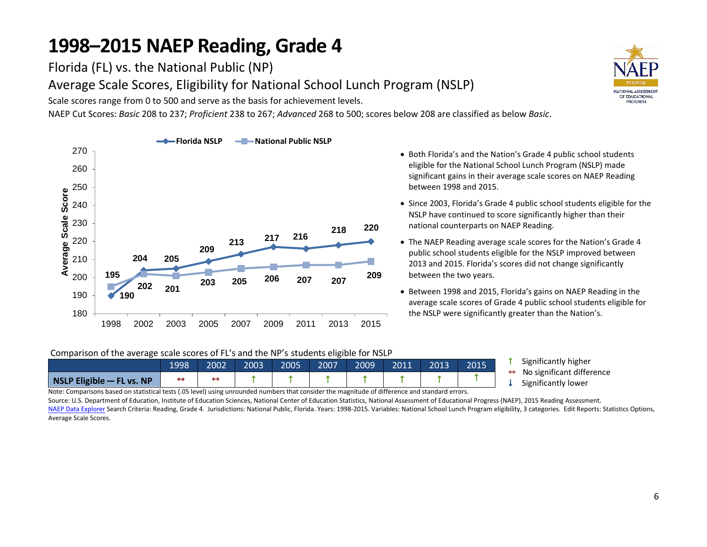Florida (FL) vs. the National Public (NP)

Average Scale Scores, Eligibility for National School Lunch Program (NSLP)

Scale scores range from 0 to 500 and serve as the basis for achievement levels.

NAEP Cut Scores: *Basic* 208 to 237; *Proficient* 238 to 267; *Advanced* 268 to 500; scores below 208 are classified as below *Basic*.



- Both Florida's and the Nation's Grade 4 public school students eligible for the National School Lunch Program (NSLP) made significant gains in their average scale scores on NAEP Reading between 1998 and 2015.
- Since 2003, Florida's Grade 4 public school students eligible for the NSLP have continued to score significantly higher than their national counterparts on NAEP Reading.
- The NAEP Reading average scale scores for the Nation's Grade 4 public school students eligible for the NSLP improved between 2013 and 2015. Florida's scores did not change significantly between the two years.
- Between 1998 and 2015, Florida's gains on NAEP Reading in the average scale scores of Grade 4 public school students eligible for the NSLP were significantly greater than the Nation's.

Comparison of the average scale scores of FL's and the NP's students eligible for NSLP

|                               | 1998 | 2002 | 2003 | 2005 | 2007 | 2009 | 2011 | 2013 | 2015 |  |  |  |  |  |
|-------------------------------|------|------|------|------|------|------|------|------|------|--|--|--|--|--|
| $NSLP$ Eligible $-$ FL vs. NP |      |      |      |      |      |      |      |      |      |  |  |  |  |  |

- **1** Significantly higher
- $\leftrightarrow$  No significant difference
- $\downarrow$  Significantly lower

Note: Comparisons based on statistical tests (.05 level) using unrounded numbers that consider the magnitude of difference and standard errors.

Source: U.S. Department of Education, Institute of Education Sciences, National Center of Education Statistics, National Assessment of Educational Progress (NAEP), 2015 Reading Assessment. [NAEP Data Explorer](http://nces.ed.gov/nationsreportcard/naepdata/) Search Criteria: Reading, Grade 4. Jurisdictions: National Public, Florida. Years: 1998-2015. Variables: National School Lunch Program eligibility, 3 categories. Edit Reports: Statistics Options, Average Scale Scores.

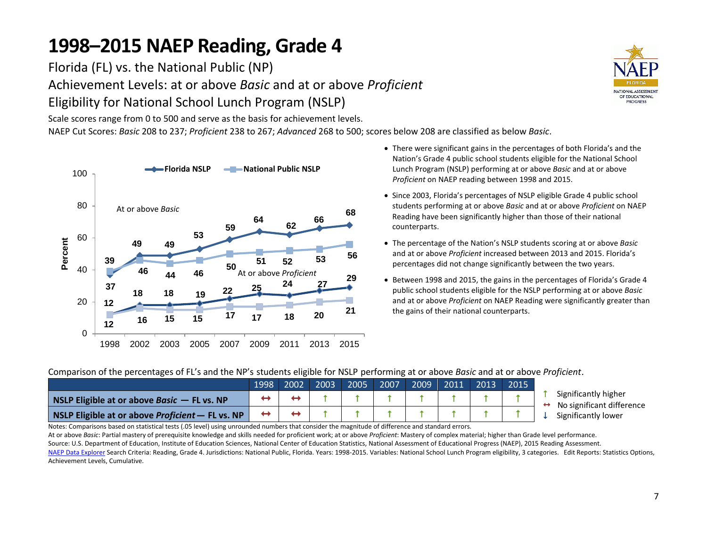Florida (FL) vs. the National Public (NP) Achievement Levels: at or above *Basic* and at or above *Proficient* Eligibility for National School Lunch Program (NSLP)

Scale scores range from 0 to 500 and serve as the basis for achievement levels.

NAEP Cut Scores: *Basic* 208 to 237; *Proficient* 238 to 267; *Advanced* 268 to 500; scores below 208 are classified as below *Basic*.



- There were significant gains in the percentages of both Florida's and the Nation's Grade 4 public school students eligible for the National School Lunch Program (NSLP) performing at or above *Basic* and at or above *Proficient* on NAEP reading between 1998 and 2015.
- Since 2003, Florida's percentages of NSLP eligible Grade 4 public school students performing at or above *Basic* and at or above *Proficient* on NAEP Reading have been significantly higher than those of their national counterparts.
- The percentage of the Nation's NSLP students scoring at or above *Basic* and at or above *Proficient* increased between 2013 and 2015. Florida's percentages did not change significantly between the two years.
- Between 1998 and 2015, the gains in the percentages of Florida's Grade 4 public school students eligible for the NSLP performing at or above *Basic* and at or above *Proficient* on NAEP Reading were significantly greater than the gains of their national counterparts.

Comparison of the percentages of FL's and the NP's students eligible for NSLP performing at or above *Basic* and at or above *Proficient*.

|                                                  | 1998 | 2002 | 2003 | 2005 | 2007 | $2009$ 2011 2013 | 2015 |
|--------------------------------------------------|------|------|------|------|------|------------------|------|
| NSLP Eligible at or above Basic $-$ FL vs. NP    |      |      |      |      |      |                  |      |
| NSLP Eligible at or above Proficient - FL vs. NP |      |      |      |      |      |                  |      |

- Significantly higher
- $\leftrightarrow$  No significant difference
- Significantly lower

Notes: Comparisons based on statistical tests (.05 level) using unrounded numbers that consider the magnitude of difference and standard errors.

At or above *Basic*: Partial mastery of prerequisite knowledge and skills needed for proficient work; at or above *Proficient*: Mastery of complex material; higher than Grade level performance. Source: U.S. Department of Education, Institute of Education Sciences, National Center of Education Statistics, National Assessment of Educational Progress (NAEP), 2015 Reading Assessment. [NAEP Data Explorer](http://nces.ed.gov/nationsreportcard/naepdata/) Search Criteria: Reading, Grade 4. Jurisdictions: National Public, Florida. Years: 1998-2015. Variables: National School Lunch Program eligibility, 3 categories. Edit Reports: Statistics Options, Achievement Levels, Cumulative.

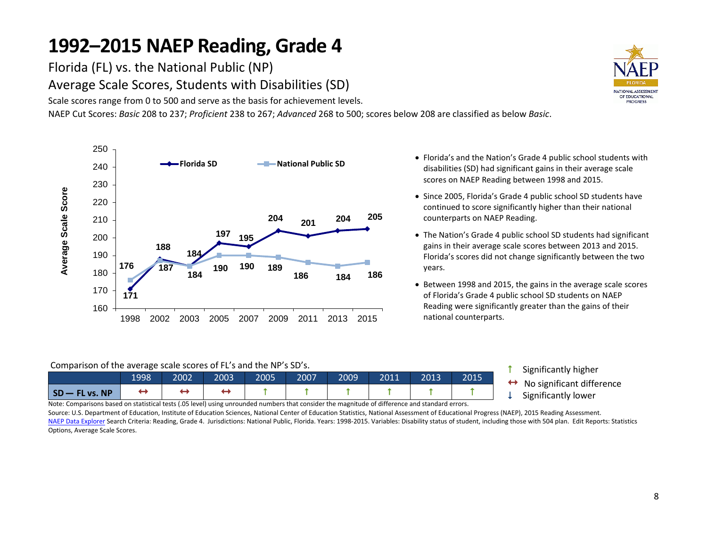Florida (FL) vs. the National Public (NP) Average Scale Scores, Students with Disabilities (SD)

Scale scores range from 0 to 500 and serve as the basis for achievement levels.

NAEP Cut Scores: *Basic* 208 to 237; *Proficient* 238 to 267; *Advanced* 268 to 500; scores below 208 are classified as below *Basic*.



- Florida's and the Nation's Grade 4 public school students with disabilities (SD) had significant gains in their average scale scores on NAEP Reading between 1998 and 2015.
- Since 2005, Florida's Grade 4 public school SD students have continued to score significantly higher than their national counterparts on NAEP Reading.
- The Nation's Grade 4 public school SD students had significant gains in their average scale scores between 2013 and 2015. Florida's scores did not change significantly between the two years.
- Between 1998 and 2015, the gains in the average scale scores of Florida's Grade 4 public school SD students on NAEP Reading were significantly greater than the gains of their national counterparts.

#### Comparison of the average scale scores of FL's and the NP's SD's.

|                                  | 1998 | 2002' | 2003 | 2005 | 2007 | 2009 | 2011 | 2013 | 2015 |
|----------------------------------|------|-------|------|------|------|------|------|------|------|
| $\mathsf{SD}-\mathsf{FL}$ vs. NP |      |       |      |      |      |      |      |      |      |

- Significantly higher
- $\leftrightarrow$  No significant difference<br>  $\downarrow$  Significantly lower
- 

Note: Comparisons based on statistical tests (.05 level) using unrounded numbers that consider the magnitude of difference and standard errors.

Source: U.S. Department of Education, Institute of Education Sciences, National Center of Education Statistics, National Assessment of Educational Progress (NAEP), 2015 Reading Assessment. [NAEP Data Explorer](http://nces.ed.gov/nationsreportcard/naepdata/) Search Criteria: Reading, Grade 4. Jurisdictions: National Public, Florida. Years: 1998-2015. Variables: Disability status of student, including those with 504 plan. Edit Reports: Statistics Options, Average Scale Scores.

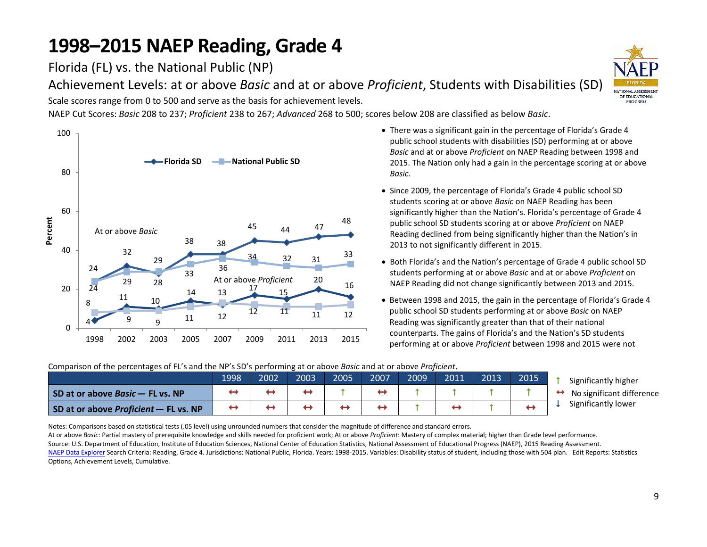Florida (FL) vs. the National Public (NP)

Achievement Levels: at or above *Basic* and at or above *Proficient*, Students with Disabilities (SD)

Scale scores range from 0 to 500 and serve as the basis for achievement levels.

NAEP Cut Scores: *Basic* 208 to 237; *Proficient* 238 to 267; *Advanced* 268 to 500; scores below 208 are classified as below *Basic*.



- There was a significant gain in the percentage of Florida's Grade 4 public school students with disabilities (SD) performing at or above *Basic* and at or above *Proficient* on NAEP Reading between 1998 and 2015. The Nation only had a gain in the percentage scoring at or above *Basic*.
- Since 2009, the percentage of Florida's Grade 4 public school SD students scoring at or above *Basic* on NAEP Reading has been significantly higher than the Nation's. Florida's percentage of Grade 4 public school SD students scoring at or above *Proficient* on NAEP Reading declined from being significantly higher than the Nation's in 2013 to not significantly different in 2015.
- Both Florida's and the Nation's percentage of Grade 4 public school SD students performing at or above *Basic* and at or above *Proficient* on NAEP Reading did not change significantly between 2013 and 2015.
- Between 1998 and 2015, the gain in the percentage of Florida's Grade 4 public school SD students performing at or above *Basic* on NAEP Reading was significantly greater than that of their national counterparts. The gains of Florida's and the Nation's SD students performing at or above *Proficient* between 1998 and 2015 were not

**1** Significantly higher 1998 2002 2003 2005 2007 2009 2011 2013 2015 **SD at or above Basic – FL vs. NP**  $\rightarrow$   $\rightarrow$   $\rightarrow$   $\rightarrow$   $\rightarrow$   $\rightarrow$   $\uparrow$   $\rightarrow$   $\uparrow$   $\uparrow$   $\uparrow$   $\uparrow$   $\uparrow$   $\uparrow$   $\uparrow$ **SD at or above** *Proficient* – **FL vs. NP**

Comparison of the percentages of FL's and the NP's SD's performing at or above *Basic* and at or above *Proficient*.

 $\leftrightarrow$  No significant difference  $\downarrow$  Significantly lower

Notes: Comparisons based on statistical tests (.05 level) using unrounded numbers that consider the magnitude of difference and standard errors.

At or above *Basic*: Partial mastery of prerequisite knowledge and skills needed for proficient work; At or above *Proficient*: Mastery of complex material; higher than Grade level performance. Source: U.S. Department of Education, Institute of Education Sciences, National Center of Education Statistics, National Assessment of Educational Progress (NAEP), 2015 Reading Assessment. [NAEP Data Explorer](http://nces.ed.gov/nationsreportcard/naepdata/) Search Criteria: Reading, Grade 4. Jurisdictions: National Public, Florida. Years: 1998-2015. Variables: Disability status of student, including those with 504 plan. Edit Reports: Statistics Options, Achievement Levels, Cumulative.

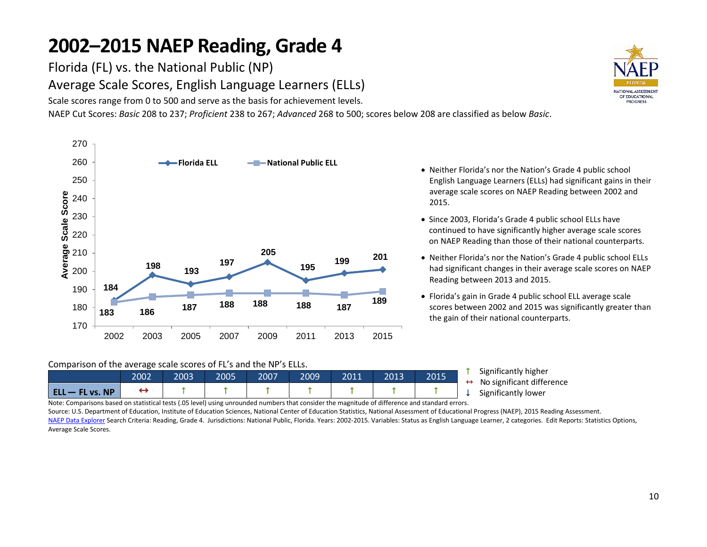Florida (FL) vs. the National Public (NP)

Average Scale Scores, English Language Learners (ELLs)

Scale scores range from 0 to 500 and serve as the basis for achievement levels.

NAEP Cut Scores: *Basic* 208 to 237; *Proficient* 238 to 267; *Advanced* 268 to 500; scores below 208 are classified as below *Basic*.



- English Language Learners (ELLs) had significant gains in their average scale scores on NAEP Reading between 2002 and 2015.
- Since 2003, Florida's Grade 4 public school ELLs have continued to have significantly higher average scale scores on NAEP Reading than those of their national counterparts.
- Neither Florida's nor the Nation's Grade 4 public school ELLs had significant changes in their average scale scores on NAEP Reading between 2013 and 2015.
- Florida's gain in Grade 4 public school ELL average scale scores between 2002 and 2015 was significantly greater than the gain of their national counterparts.

#### Comparison of the average scale scores of FL's and the NP's ELLs.

|                   | 2002 | 2003 | 2005 | 2007 | 2009 | 2011 | 2013 | 2015 | $\sim$ $\sim$ $\sim$ $\sim$ $\sim$<br>Significantly h<br>No significant |
|-------------------|------|------|------|------|------|------|------|------|-------------------------------------------------------------------------|
| $ELL - FL vs. NP$ |      |      |      |      |      |      |      |      | Significantly lo                                                        |

igher difference ower

Note: Comparisons based on statistical tests (.05 level) using unrounded numbers that consider the magnitude of difference and standard errors.

Source: U.S. Department of Education, Institute of Education Sciences, National Center of Education Statistics, National Assessment of Educational Progress (NAEP), 2015 Reading Assessment. [NAEP Data Explorer](http://nces.ed.gov/nationsreportcard/naepdata/) Search Criteria: Reading, Grade 4. Jurisdictions: National Public, Florida. Years: 2002-2015. Variables: Status as English Language Learner, 2 categories. Edit Reports: Statistics Options, Average Scale Scores.